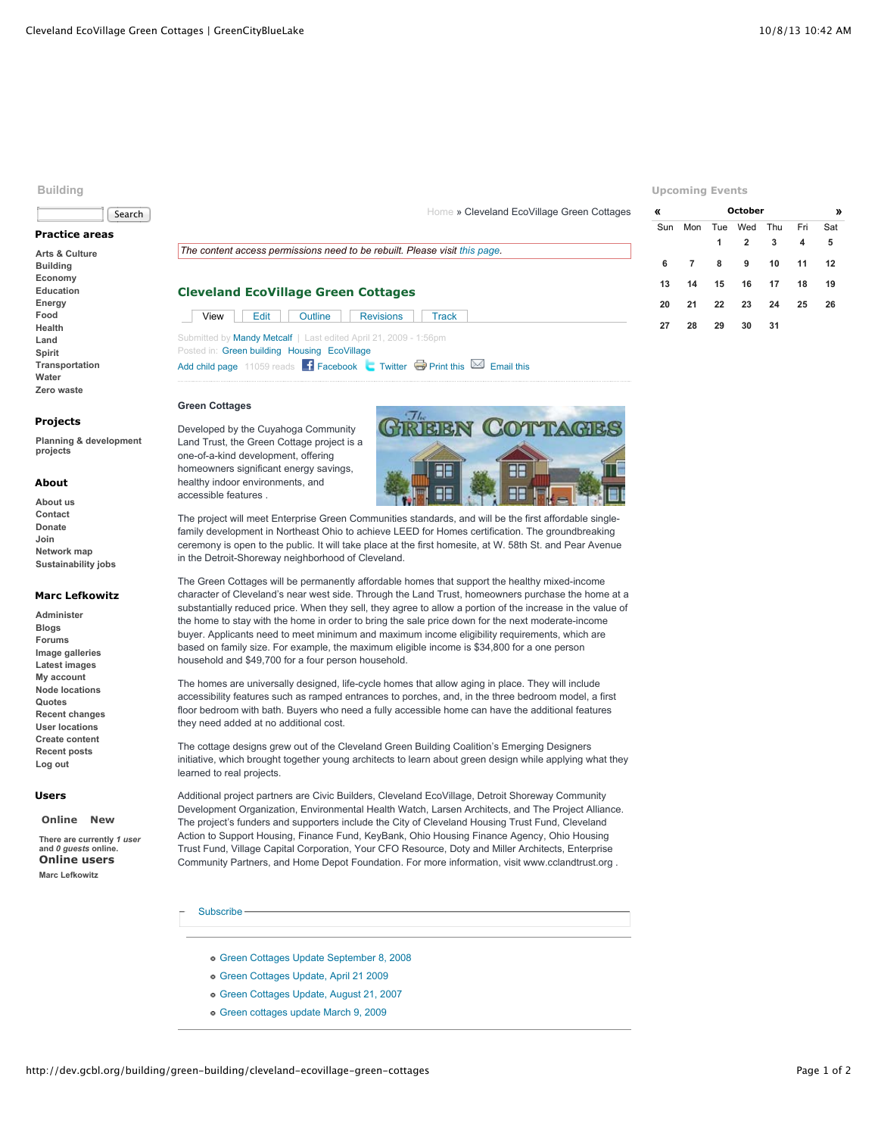## **Building**



# **Practice areas**

**[Arts & Culture](http://dev.gcbl.org/arts) [Building](http://dev.gcbl.org/building) [Economy](http://dev.gcbl.org/economy) [Education](http://dev.gcbl.org/education) [Energy](http://dev.gcbl.org/energy) [Food](http://dev.gcbl.org/food) [Health](http://dev.gcbl.org/health) [Land](http://dev.gcbl.org/land) [Spirit](http://dev.gcbl.org/spirit) [Transportation](http://dev.gcbl.org/transportation) [Water](http://dev.gcbl.org/water) [Zero waste](http://dev.gcbl.org/zero-waste)**

### **Projects**

**[Planning & development](http://dev.gcbl.org/planning-development-projects) projects**

#### **About**

**[About us](http://dev.gcbl.org/about) [Contact](http://dev.gcbl.org/contact-us) [Donate](http://dev.gcbl.org/donate) [Join](http://dev.gcbl.org/join) [Network map](http://dev.gcbl.org/the-network) [Sustainability jobs](http://dev.gcbl.org/action-areas/jobs)**

# **Marc Lefkowitz**

**[Administer](http://dev.gcbl.org/admin) [Blogs](http://dev.gcbl.org/blog) [Forums](http://dev.gcbl.org/forum) [Image galleries](http://dev.gcbl.org/image) [Latest images](http://dev.gcbl.org/image/recent) [My account](http://dev.gcbl.org/user/marc-lefkowitz) [Node locations](http://dev.gcbl.org/map/node) [Quotes](http://dev.gcbl.org/quotes) [Recent changes](http://dev.gcbl.org/recent_changes) [User locations](http://dev.gcbl.org/map/user) [Create content](http://dev.gcbl.org/node/add) [Recent posts](http://dev.gcbl.org/tracker) [Log out](http://dev.gcbl.org/logout)**

## **Users**

**[Online](http://dev.gcbl.org/building/green-building/cleveland-ecovillage-green-cottages?quicktabs_2=0#quicktabs-2) [New](http://dev.gcbl.org/building/green-building/cleveland-ecovillage-green-cottages?quicktabs_2=1#quicktabs-2)**

**There are currently** *1 user* **and** *0 guests* **online. Online users [Marc Lefkowitz](http://dev.gcbl.org/user/marc-lefkowitz)**

# [Home](http://dev.gcbl.org/) » Cleveland EcoVillage Green Cottages

# *The content access permissions need to be rebuilt. Please visit [this page.](http://dev.gcbl.org/admin/content/node-settings/rebuild)*

# **Cleveland EcoVillage Green Cottages**

| <b>Contract Contract</b> | $View \mid \text{Edit} \mid$ | Outline | Revisions Track                                                         |  |
|--------------------------|------------------------------|---------|-------------------------------------------------------------------------|--|
|                          |                              |         | Submitted by <b>Mandy Metcalf</b>   Last edited April 21, 2009 - 1:56pm |  |

Posted in: [Green building](http://dev.gcbl.org/action-areas/building/green-building) [Housing](http://dev.gcbl.org/action-areas/building/housing) [EcoVillage](http://dev.gcbl.org/planning-development-projects/ecovillage) [Add child page](http://dev.gcbl.org/node/add/book?parent=3742) 11059 reads  $\blacksquare$  [Facebook](http://www.facebook.com/sharer.php?u=http%3A%2F%2Fdev.gcbl.org%2Fbuilding%2Fgreen-building%2Fcleveland-ecovillage-green-cottages&t=Cleveland+EcoVillage+Green+Cottages)  $\blacksquare$  [Twitter](http://twitter.com/home/?status=http%3A%2F%2Fdev.gcbl.org%2Fbuilding%2Fgreen-building%2Fcleveland-ecovillage-green-cottages+--+Cleveland+EcoVillage+Green+Cottages)  $\blacksquare$  [Print this](http://dev.gcbl.org/print/2393)  $\blacksquare$  [Email this](http://dev.gcbl.org/forward?path=node%2F2393)

## **Green Cottages**

Developed by the Cuyahoga Community Land Trust, the Green Cottage project is a one-of-a-kind development, offering homeowners significant energy savings, healthy indoor environments, and accessible features .



The project will meet Enterprise Green Communities standards, and will be the first affordable singlefamily development in Northeast Ohio to achieve LEED for Homes certification. The groundbreaking ceremony is open to the public. It will take place at the first homesite, at W. 58th St. and Pear Avenue in the Detroit-Shoreway neighborhood of Cleveland.

The Green Cottages will be permanently affordable homes that support the healthy mixed-income character of Cleveland's near west side. Through the Land Trust, homeowners purchase the home at a substantially reduced price. When they sell, they agree to allow a portion of the increase in the value of the home to stay with the home in order to bring the sale price down for the next moderate-income buyer. Applicants need to meet minimum and maximum income eligibility requirements, which are based on family size. For example, the maximum eligible income is \$34,800 for a one person household and \$49,700 for a four person household.

The homes are universally designed, life-cycle homes that allow aging in place. They will include accessibility features such as ramped entrances to porches, and, in the three bedroom model, a first floor bedroom with bath. Buyers who need a fully accessible home can have the additional features they need added at no additional cost.

The cottage designs grew out of the Cleveland Green Building Coalition's Emerging Designers initiative, which brought together young architects to learn about green design while applying what they learned to real projects.

Additional project partners are Civic Builders, Cleveland EcoVillage, Detroit Shoreway Community Development Organization, Environmental Health Watch, Larsen Architects, and The Project Alliance. The project's funders and supporters include the City of Cleveland Housing Trust Fund, Cleveland Action to Support Housing, Finance Fund, KeyBank, Ohio Housing Finance Agency, Ohio Housing Trust Fund, Village Capital Corporation, Your CFO Resource, Doty and Miller Architects, Enterprise Community Partners, and Home Depot Foundation. For more information, visit www.cclandtrust.org .

- [Subscribe](http://dev.gcbl.org/building/green-building/cleveland-ecovillage-green-cottages#)
	- [Green Cottages Update September 8, 2008](http://dev.gcbl.org/building/green-building/cleveland-ecovillage-green-cottages/green-cottages-update-september-8-2008)
	- [Green Cottages Update, April 21 2009](http://dev.gcbl.org/building/green-building/cleveland-ecovillage-green-cottages/green-cottages-update-april-21-2009)
	- [Green Cottages Update, August 21, 2007](http://dev.gcbl.org/building/green-building/green-cottages-blog/green-cottages-post-august-21-2007)
	- [Green cottages update March 9, 2009](http://dev.gcbl.org/building/green-building/cleveland-ecovillage-green-cottages/green-cottages-update)

# **Upcoming Events**

| «   |     |    | October        |    |     | »   |
|-----|-----|----|----------------|----|-----|-----|
| Sun | Mon |    | Tue Wed Thu    |    | Fri | Sat |
|     |     | 1  | $\overline{2}$ | 3  | 4   | 5   |
| 6   | 7   | 8  | 9              | 10 | 11  | 12  |
| 13  | 14  | 15 | 16             | 17 | 18  | 19  |
| 20  | 21  | 22 | 23             | 24 | 25  | 26  |
| 27  | 28  | 29 | 30             | 31 |     |     |